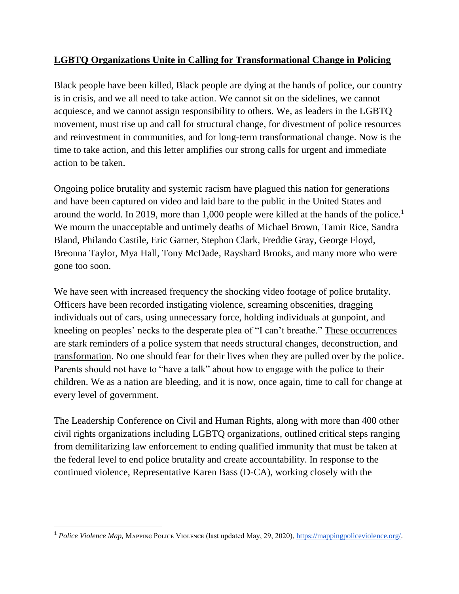# **LGBTQ Organizations Unite in Calling for Transformational Change in Policing**

Black people have been killed, Black people are dying at the hands of police, our country is in crisis, and we all need to take action. We cannot sit on the sidelines, we cannot acquiesce, and we cannot assign responsibility to others. We, as leaders in the LGBTQ movement, must rise up and call for structural change, for divestment of police resources and reinvestment in communities, and for long-term transformational change. Now is the time to take action, and this letter amplifies our strong calls for urgent and immediate action to be taken.

Ongoing police brutality and systemic racism have plagued this nation for generations and have been captured on video and laid bare to the public in the United States and around the world. In 2019, more than 1,000 people were killed at the hands of the police.<sup>1</sup> We mourn the unacceptable and untimely deaths of Michael Brown, Tamir Rice, Sandra Bland, Philando Castile, Eric Garner, Stephon Clark, Freddie Gray, George Floyd, Breonna Taylor, Mya Hall, Tony McDade, Rayshard Brooks, and many more who were gone too soon.

We have seen with increased frequency the shocking video footage of police brutality. Officers have been recorded instigating violence, screaming obscenities, dragging individuals out of cars, using unnecessary force, holding individuals at gunpoint, and kneeling on peoples' necks to the desperate plea of "I can't breathe." These occurrences are stark reminders of a police system that needs structural changes, deconstruction, and transformation. No one should fear for their lives when they are pulled over by the police. Parents should not have to "have a talk" about how to engage with the police to their children. We as a nation are bleeding, and it is now, once again, time to call for change at every level of government.

The Leadership Conference on Civil and Human Rights, along with more than 400 other civil rights organizations including LGBTQ organizations, outlined critical steps ranging from demilitarizing law enforcement to ending qualified immunity that must be taken at the federal level to end police brutality and create accountability. In response to the continued violence, Representative Karen Bass (D-CA), working closely with the

<sup>&</sup>lt;sup>1</sup> Police Violence Map, MAPPING POLICE VIOLENCE (last updated May, 29, 2020), [https://mappingpoliceviolence.org/.](https://mappingpoliceviolence.org/)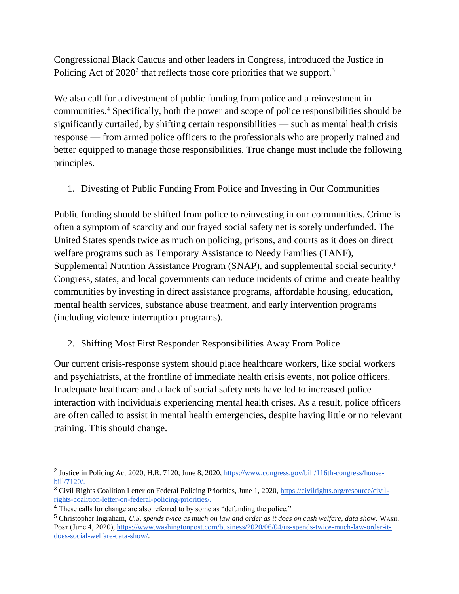Congressional Black Caucus and other leaders in Congress, introduced the Justice in Policing Act of  $2020<sup>2</sup>$  that reflects those core priorities that we support.<sup>3</sup>

We also call for a divestment of public funding from police and a reinvestment in communities.<sup>4</sup> Specifically, both the power and scope of police responsibilities should be significantly curtailed, by shifting certain responsibilities — such as mental health crisis response — from armed police officers to the professionals who are properly trained and better equipped to manage those responsibilities. True change must include the following principles.

## 1. Divesting of Public Funding From Police and Investing in Our Communities

Public funding should be shifted from police to reinvesting in our communities. Crime is often a symptom of scarcity and our frayed social safety net is sorely underfunded. The United States spends twice as much on policing, prisons, and courts as it does on direct welfare programs such as Temporary Assistance to Needy Families (TANF), Supplemental Nutrition Assistance Program (SNAP), and supplemental social security.<sup>5</sup> Congress, states, and local governments can reduce incidents of crime and create healthy communities by investing in direct assistance programs, affordable housing, education, mental health services, substance abuse treatment, and early intervention programs (including violence interruption programs).

## 2. Shifting Most First Responder Responsibilities Away From Police

Our current crisis-response system should place healthcare workers, like social workers and psychiatrists, at the frontline of immediate health crisis events, not police officers. Inadequate healthcare and a lack of social safety nets have led to increased police interaction with individuals experiencing mental health crises. As a result, police officers are often called to assist in mental health emergencies, despite having little or no relevant training. This should change.

<sup>&</sup>lt;sup>2</sup> Justice in Policing Act 2020, H.R. 7120, June 8, 2020, [https://www.congress.gov/bill/116th-congress/house](https://www.congress.gov/bill/116th-congress/house-bill/7120/cosponsors?r=1&s=1&q=%7B%22search%22:%5B%22Justice+in+Policing+Act%22%5D,%22cosponsor-state%22:%22Florida%22%7D&searchResultViewType=expanded&KWICView=false)[bill/7120/.](https://www.congress.gov/bill/116th-congress/house-bill/7120/cosponsors?r=1&s=1&q=%7B%22search%22:%5B%22Justice+in+Policing+Act%22%5D,%22cosponsor-state%22:%22Florida%22%7D&searchResultViewType=expanded&KWICView=false)

<sup>&</sup>lt;sup>3</sup> Civil Rights Coalition Letter on Federal Policing Priorities, June 1, 2020, [https://civilrights.org/resource/civil](https://civilrights.org/resource/civil-rights-coalition-letter-on-federal-policing-priorities/)[rights-coalition-letter-on-federal-policing-priorities/.](https://civilrights.org/resource/civil-rights-coalition-letter-on-federal-policing-priorities/)

<sup>&</sup>lt;sup>4</sup> These calls for change are also referred to by some as "defunding the police."

<sup>&</sup>lt;sup>5</sup> Christopher Ingraham, *U.S. spends twice as much on law and order as it does on cash welfare, data show*, WASH. Post (June 4, 2020), [https://www.washingtonpost.com/business/2020/06/04/us-spends-twice-much-law-order-it](https://www.washingtonpost.com/business/2020/06/04/us-spends-twice-much-law-order-it-does-social-welfare-data-show/)[does-social-welfare-data-show/.](https://www.washingtonpost.com/business/2020/06/04/us-spends-twice-much-law-order-it-does-social-welfare-data-show/)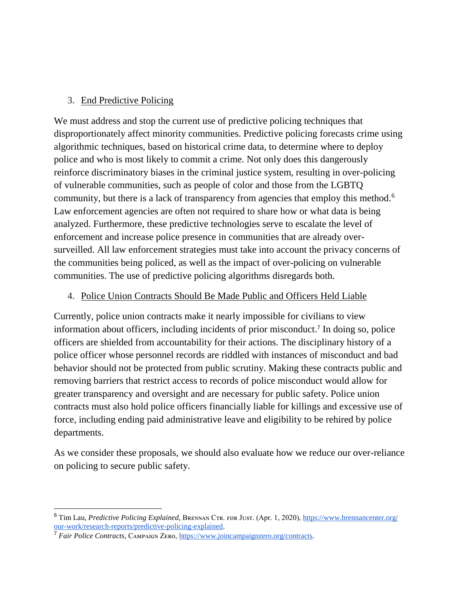### 3. End Predictive Policing

We must address and stop the current use of predictive policing techniques that disproportionately affect minority communities. Predictive policing forecasts crime using algorithmic techniques, based on historical crime data, to determine where to deploy police and who is most likely to commit a crime. Not only does this dangerously reinforce discriminatory biases in the criminal justice system, resulting in over-policing of vulnerable communities, such as people of color and those from the LGBTQ community, but there is a lack of transparency from agencies that employ this method.<sup>6</sup> Law enforcement agencies are often not required to share how or what data is being analyzed. Furthermore, these predictive technologies serve to escalate the level of enforcement and increase police presence in communities that are already oversurveilled. All law enforcement strategies must take into account the privacy concerns of the communities being policed, as well as the impact of over-policing on vulnerable communities. The use of predictive policing algorithms disregards both.

### 4. Police Union Contracts Should Be Made Public and Officers Held Liable

Currently, police union contracts make it nearly impossible for civilians to view information about officers, including incidents of prior misconduct.<sup>7</sup> In doing so, police officers are shielded from accountability for their actions. The disciplinary history of a police officer whose personnel records are riddled with instances of misconduct and bad behavior should not be protected from public scrutiny. Making these contracts public and removing barriers that restrict access to records of police misconduct would allow for greater transparency and oversight and are necessary for public safety. Police union contracts must also hold police officers financially liable for killings and excessive use of force, including ending paid administrative leave and eligibility to be rehired by police departments.

As we consider these proposals, we should also evaluate how we reduce our over-reliance on policing to secure public safety.

 $\overline{a}$ 

<sup>&</sup>lt;sup>6</sup> Tim Lau, *Predictive Policing Explained*, BRENNAN CTR. FOR JUST. (Apr. 1, 2020), [https://www.brennancenter.org/](https://www.brennancenter.org/our-work/research-reports/predictive-policing-explained) [our-work/research-reports/predictive-policing-explained.](https://www.brennancenter.org/our-work/research-reports/predictive-policing-explained)

<sup>&</sup>lt;sup>7</sup> *Fair Police Contracts, CAMPAIGN ZERO, https://www.joincampaignzero.org/contracts.*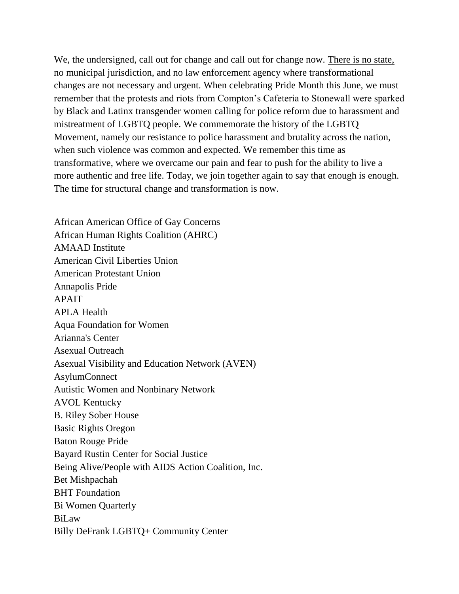We, the undersigned, call out for change and call out for change now. There is no state, no municipal jurisdiction, and no law enforcement agency where transformational changes are not necessary and urgent. When celebrating Pride Month this June, we must remember that the protests and riots from Compton's Cafeteria to Stonewall were sparked by Black and Latinx transgender women calling for police reform due to harassment and mistreatment of LGBTQ people. We commemorate the history of the LGBTQ Movement, namely our resistance to police harassment and brutality across the nation, when such violence was common and expected. We remember this time as transformative, where we overcame our pain and fear to push for the ability to live a more authentic and free life. Today, we join together again to say that enough is enough. The time for structural change and transformation is now.

African American Office of Gay Concerns African Human Rights Coalition (AHRC) AMAAD Institute American Civil Liberties Union American Protestant Union Annapolis Pride APAIT APLA Health Aqua Foundation for Women Arianna's Center Asexual Outreach Asexual Visibility and Education Network (AVEN) AsylumConnect Autistic Women and Nonbinary Network AVOL Kentucky B. Riley Sober House Basic Rights Oregon Baton Rouge Pride Bayard Rustin Center for Social Justice Being Alive/People with AIDS Action Coalition, Inc. Bet Mishpachah BHT Foundation Bi Women Quarterly BiLaw Billy DeFrank LGBTQ+ Community Center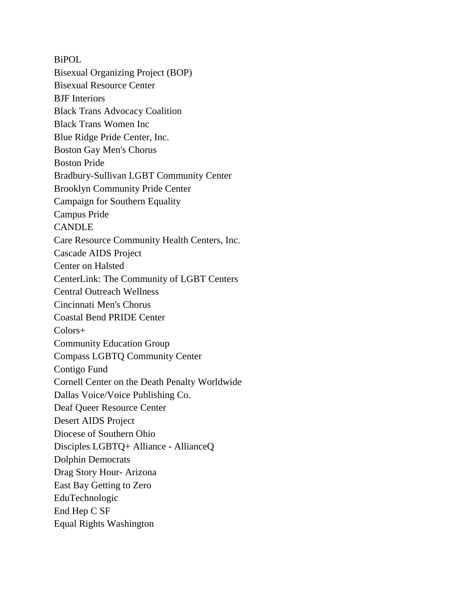BiPOL Bisexual Organizing Project (BOP) Bisexual Resource Center BJF Interiors Black Trans Advocacy Coalition Black Trans Women Inc Blue Ridge Pride Center, Inc. Boston Gay Men's Chorus Boston Pride Bradbury-Sullivan LGBT Community Center Brooklyn Community Pride Center Campaign for Southern Equality Campus Pride CANDLE Care Resource Community Health Centers, Inc. Cascade AIDS Project Center on Halsted CenterLink: The Community of LGBT Centers Central Outreach Wellness Cincinnati Men's Chorus Coastal Bend PRIDE Center Colors+ Community Education Group Compass LGBTQ Community Center Contigo Fund Cornell Center on the Death Penalty Worldwide Dallas Voice/Voice Publishing Co. Deaf Queer Resource Center Desert AIDS Project Diocese of Southern Ohio Disciples LGBTQ+ Alliance - AllianceQ Dolphin Democrats Drag Story Hour- Arizona East Bay Getting to Zero EduTechnologic End Hep C SF Equal Rights Washington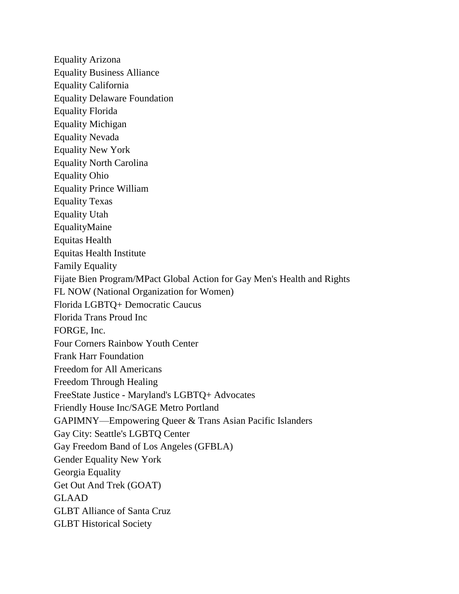Equality Arizona Equality Business Alliance Equality California Equality Delaware Foundation Equality Florida Equality Michigan Equality Nevada Equality New York Equality North Carolina Equality Ohio Equality Prince William Equality Texas Equality Utah EqualityMaine Equitas Health Equitas Health Institute Family Equality Fijate Bien Program/MPact Global Action for Gay Men's Health and Rights FL NOW (National Organization for Women) Florida LGBTQ+ Democratic Caucus Florida Trans Proud Inc FORGE, Inc. Four Corners Rainbow Youth Center Frank Harr Foundation Freedom for All Americans Freedom Through Healing FreeState Justice - Maryland's LGBTQ+ Advocates Friendly House Inc/SAGE Metro Portland GAPIMNY—Empowering Queer & Trans Asian Pacific Islanders Gay City: Seattle's LGBTQ Center Gay Freedom Band of Los Angeles (GFBLA) Gender Equality New York Georgia Equality Get Out And Trek (GOAT) GLAAD GLBT Alliance of Santa Cruz GLBT Historical Society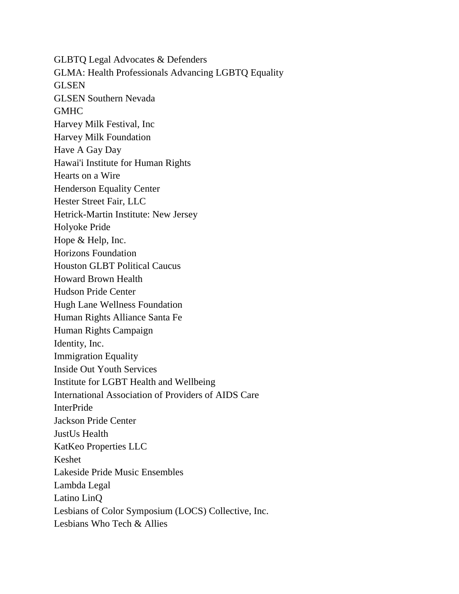GLBTQ Legal Advocates & Defenders GLMA: Health Professionals Advancing LGBTQ Equality GLSEN GLSEN Southern Nevada **GMHC** Harvey Milk Festival, Inc Harvey Milk Foundation Have A Gay Day Hawai'i Institute for Human Rights Hearts on a Wire Henderson Equality Center Hester Street Fair, LLC Hetrick-Martin Institute: New Jersey Holyoke Pride Hope & Help, Inc. Horizons Foundation Houston GLBT Political Caucus Howard Brown Health Hudson Pride Center Hugh Lane Wellness Foundation Human Rights Alliance Santa Fe Human Rights Campaign Identity, Inc. Immigration Equality Inside Out Youth Services Institute for LGBT Health and Wellbeing International Association of Providers of AIDS Care InterPride Jackson Pride Center JustUs Health KatKeo Properties LLC Keshet Lakeside Pride Music Ensembles Lambda Legal Latino LinQ Lesbians of Color Symposium (LOCS) Collective, Inc. Lesbians Who Tech & Allies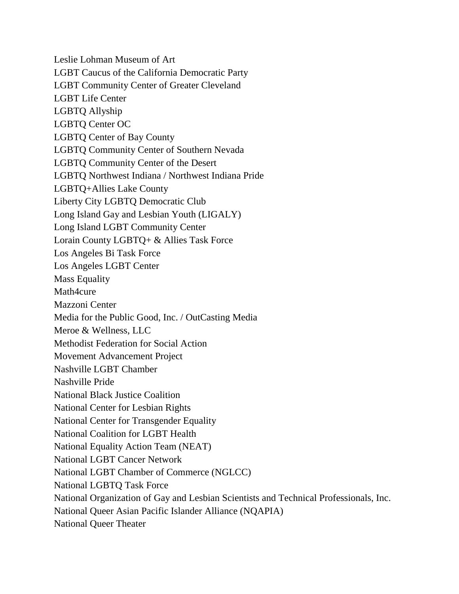Leslie Lohman Museum of Art LGBT Caucus of the California Democratic Party LGBT Community Center of Greater Cleveland LGBT Life Center LGBTQ Allyship LGBTQ Center OC LGBTQ Center of Bay County LGBTQ Community Center of Southern Nevada LGBTQ Community Center of the Desert LGBTQ Northwest Indiana / Northwest Indiana Pride LGBTQ+Allies Lake County Liberty City LGBTQ Democratic Club Long Island Gay and Lesbian Youth (LIGALY) Long Island LGBT Community Center Lorain County LGBTQ+ & Allies Task Force Los Angeles Bi Task Force Los Angeles LGBT Center Mass Equality Math4cure Mazzoni Center Media for the Public Good, Inc. / OutCasting Media Meroe & Wellness, LLC Methodist Federation for Social Action Movement Advancement Project Nashville LGBT Chamber Nashville Pride National Black Justice Coalition National Center for Lesbian Rights National Center for Transgender Equality National Coalition for LGBT Health National Equality Action Team (NEAT) National LGBT Cancer Network National LGBT Chamber of Commerce (NGLCC) National LGBTQ Task Force National Organization of Gay and Lesbian Scientists and Technical Professionals, Inc. National Queer Asian Pacific Islander Alliance (NQAPIA) National Queer Theater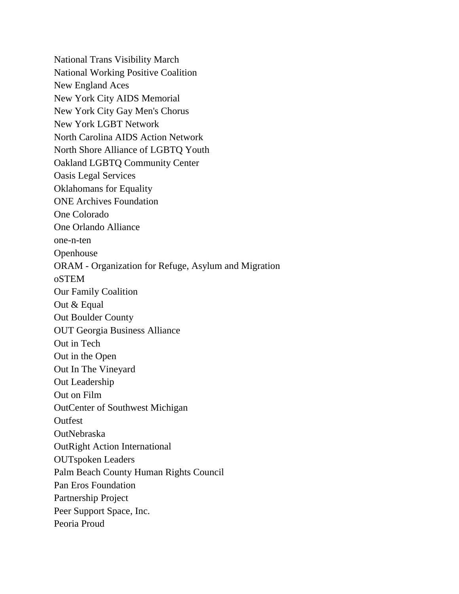National Trans Visibility March National Working Positive Coalition New England Aces New York City AIDS Memorial New York City Gay Men's Chorus New York LGBT Network North Carolina AIDS Action Network North Shore Alliance of LGBTQ Youth Oakland LGBTQ Community Center Oasis Legal Services Oklahomans for Equality ONE Archives Foundation One Colorado One Orlando Alliance one-n-ten **Openhouse** ORAM - Organization for Refuge, Asylum and Migration oSTEM Our Family Coalition Out & Equal Out Boulder County OUT Georgia Business Alliance Out in Tech Out in the Open Out In The Vineyard Out Leadership Out on Film OutCenter of Southwest Michigan Outfest OutNebraska OutRight Action International OUTspoken Leaders Palm Beach County Human Rights Council Pan Eros Foundation Partnership Project Peer Support Space, Inc. Peoria Proud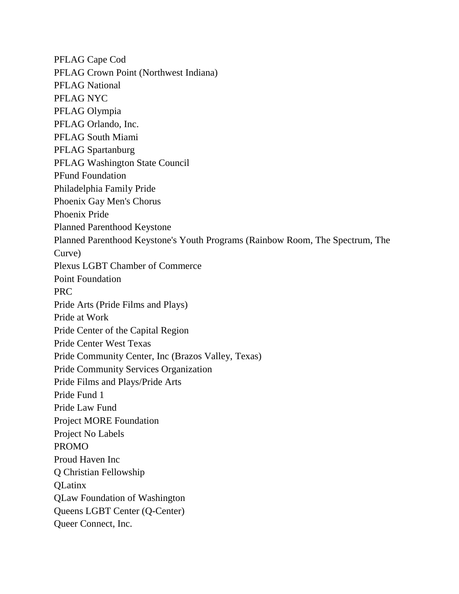PFLAG Cape Cod PFLAG Crown Point (Northwest Indiana) PFLAG National PFLAG NYC PFLAG Olympia PFLAG Orlando, Inc. PFLAG South Miami PFLAG Spartanburg PFLAG Washington State Council PFund Foundation Philadelphia Family Pride Phoenix Gay Men's Chorus Phoenix Pride Planned Parenthood Keystone Planned Parenthood Keystone's Youth Programs (Rainbow Room, The Spectrum, The Curve) Plexus LGBT Chamber of Commerce Point Foundation PRC Pride Arts (Pride Films and Plays) Pride at Work Pride Center of the Capital Region Pride Center West Texas Pride Community Center, Inc (Brazos Valley, Texas) Pride Community Services Organization Pride Films and Plays/Pride Arts Pride Fund 1 Pride Law Fund Project MORE Foundation Project No Labels PROMO Proud Haven Inc Q Christian Fellowship **OLatinx** QLaw Foundation of Washington Queens LGBT Center (Q-Center) Queer Connect, Inc.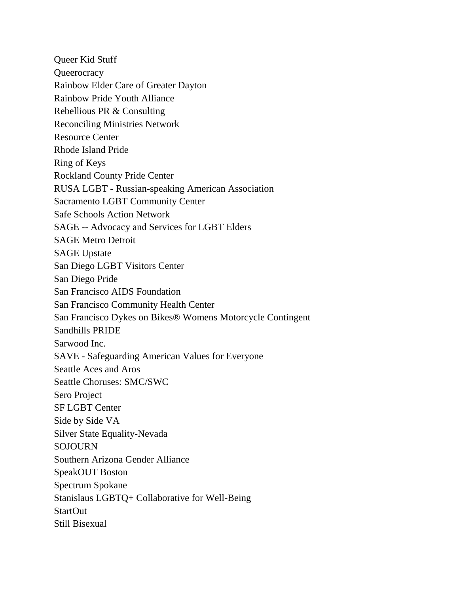Queer Kid Stuff **Queerocracy** Rainbow Elder Care of Greater Dayton Rainbow Pride Youth Alliance Rebellious PR & Consulting Reconciling Ministries Network Resource Center Rhode Island Pride Ring of Keys Rockland County Pride Center RUSA LGBT - Russian-speaking American Association Sacramento LGBT Community Center Safe Schools Action Network SAGE -- Advocacy and Services for LGBT Elders SAGE Metro Detroit SAGE Upstate San Diego LGBT Visitors Center San Diego Pride San Francisco AIDS Foundation San Francisco Community Health Center San Francisco Dykes on Bikes® Womens Motorcycle Contingent Sandhills PRIDE Sarwood Inc. SAVE - Safeguarding American Values for Everyone Seattle Aces and Aros Seattle Choruses: SMC/SWC Sero Project SF LGBT Center Side by Side VA Silver State Equality-Nevada SOJOURN Southern Arizona Gender Alliance SpeakOUT Boston Spectrum Spokane Stanislaus LGBTQ+ Collaborative for Well-Being StartOut Still Bisexual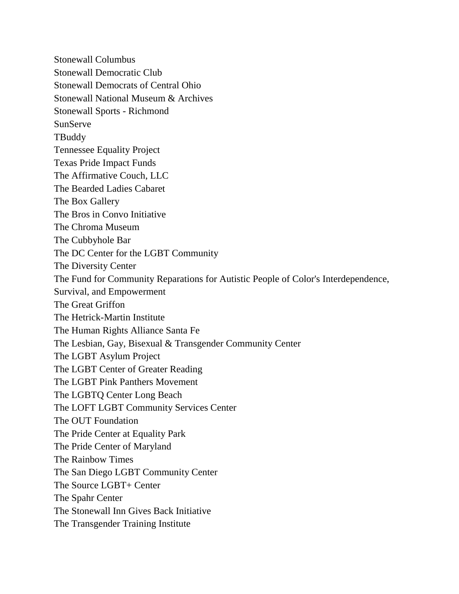Stonewall Columbus Stonewall Democratic Club Stonewall Democrats of Central Ohio Stonewall National Museum & Archives Stonewall Sports - Richmond SunServe **TBuddy** Tennessee Equality Project Texas Pride Impact Funds The Affirmative Couch, LLC The Bearded Ladies Cabaret The Box Gallery The Bros in Convo Initiative The Chroma Museum The Cubbyhole Bar The DC Center for the LGBT Community The Diversity Center The Fund for Community Reparations for Autistic People of Color's Interdependence, Survival, and Empowerment The Great Griffon The Hetrick-Martin Institute The Human Rights Alliance Santa Fe The Lesbian, Gay, Bisexual & Transgender Community Center The LGBT Asylum Project The LGBT Center of Greater Reading The LGBT Pink Panthers Movement The LGBTQ Center Long Beach The LOFT LGBT Community Services Center The OUT Foundation The Pride Center at Equality Park The Pride Center of Maryland The Rainbow Times The San Diego LGBT Community Center The Source LGBT+ Center The Spahr Center The Stonewall Inn Gives Back Initiative The Transgender Training Institute